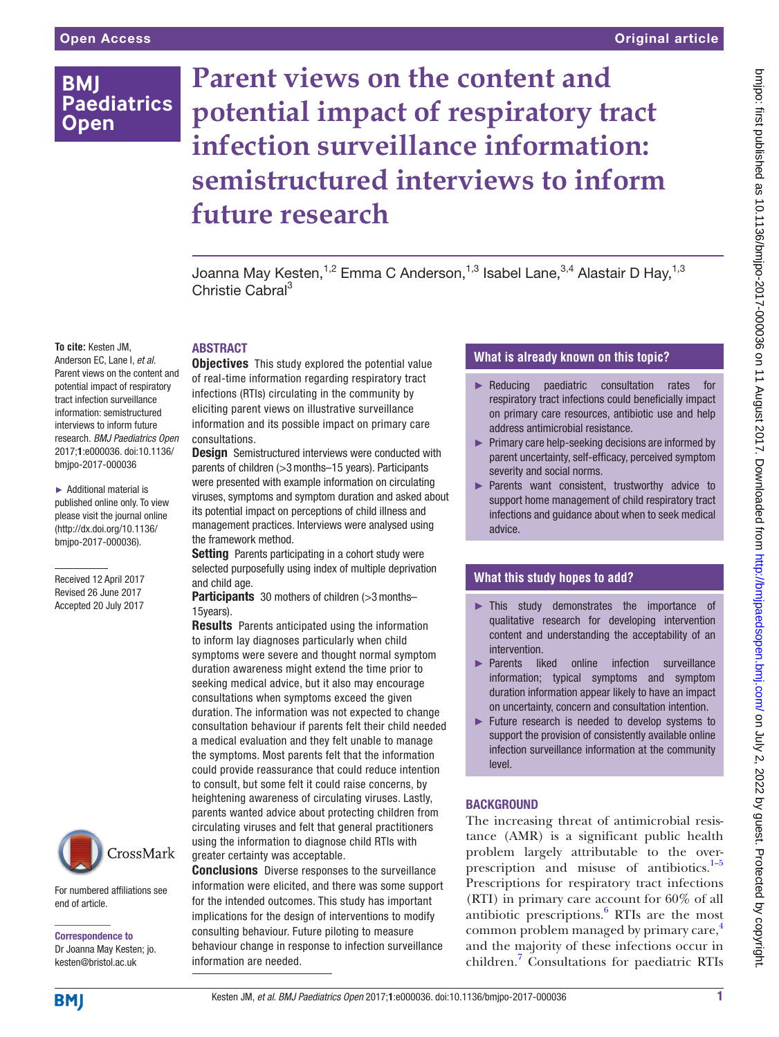# **BMJ Paediatrics Open**

# **Parent views on the content and potential impact of respiratory tract infection surveillance information: semistructured interviews to inform future research**

Joanna May Kesten, <sup>1,2</sup> Emma C Anderson, <sup>1,3</sup> Isabel Lane,  $3,4$  Alastair D Hay,  $1,3$ Christie Cabral<sup>3</sup>

#### **To cite:** Kesten JM,

Anderson EC, Lane I, *et al*. Parent views on the content and potential impact of respiratory tract infection surveillance information: semistructured interviews to inform future research. *BMJ Paediatrics Open* 2017;1:e000036. doi:10.1136/ bmjpo-2017-000036

► Additional material is published online only. To view please visit the journal online (http://dx.doi.org/10.1136/ bmjpo-2017-000036).

Received 12 April 2017 Revised 26 June 2017 Accepted 20 July 2017



For numbered affiliations see end of article.

Correspondence to Dr Joanna May Kesten; jo. kesten@bristol.ac.uk

#### **ABSTRACT**

**Objectives** This study explored the potential value of real-time information regarding respiratory tract infections (RTIs) circulating in the community by eliciting parent views on illustrative surveillance information and its possible impact on primary care consultations.

**Design** Semistructured interviews were conducted with parents of children (>3months–15 years). Participants were presented with example information on circulating viruses, symptoms and symptom duration and asked about its potential impact on perceptions of child illness and management practices. Interviews were analysed using the framework method.

Setting Parents participating in a cohort study were selected purposefully using index of multiple deprivation and child age.

Participants 30 mothers of children (>3 months– 15years).

Results Parents anticipated using the information to inform lay diagnoses particularly when child symptoms were severe and thought normal symptom duration awareness might extend the time prior to seeking medical advice, but it also may encourage consultations when symptoms exceed the given duration. The information was not expected to change consultation behaviour if parents felt their child needed a medical evaluation and they felt unable to manage the symptoms. Most parents felt that the information could provide reassurance that could reduce intention to consult, but some felt it could raise concerns, by heightening awareness of circulating viruses. Lastly, parents wanted advice about protecting children from circulating viruses and felt that general practitioners using the information to diagnose child RTIs with greater certainty was acceptable.

**Conclusions** Diverse responses to the surveillance information were elicited, and there was some support for the intended outcomes. This study has important implications for the design of interventions to modify consulting behaviour. Future piloting to measure behaviour change in response to infection surveillance information are needed.

#### **What is already known on this topic?**

- ► Reducing paediatric consultation rates for respiratory tract infections could beneficially impact on primary care resources, antibiotic use and help address antimicrobial resistance.
- ► Primary care help-seeking decisions are informed by parent uncertainty, self-efficacy, perceived symptom severity and social norms.
- ► Parents want consistent, trustworthy advice to support home management of child respiratory tract infections and guidance about when to seek medical advice.

#### **What this study hopes to add?**

- ► This study demonstrates the importance of qualitative research for developing intervention content and understanding the acceptability of an intervention.
- ► Parents liked online infection surveillance information; typical symptoms and symptom duration information appear likely to have an impact on uncertainty, concern and consultation intention.
- ► Future research is needed to develop systems to support the provision of consistently available online infection surveillance information at the community level.

#### **BACKGROUND**

The increasing threat of antimicrobial resistance (AMR) is a significant public health problem largely attributable to the overprescription and misuse of antibiotics. $1-5$ Prescriptions for respiratory tract infections (RTI) in primary care account for 60% of all antibiotic prescriptions. $6$  RTIs are the most common problem managed by primary care,<sup>[4](#page-8-2)</sup> and the majority of these infections occur in children.[7](#page-8-3) Consultations for paediatric RTIs

**BMJ**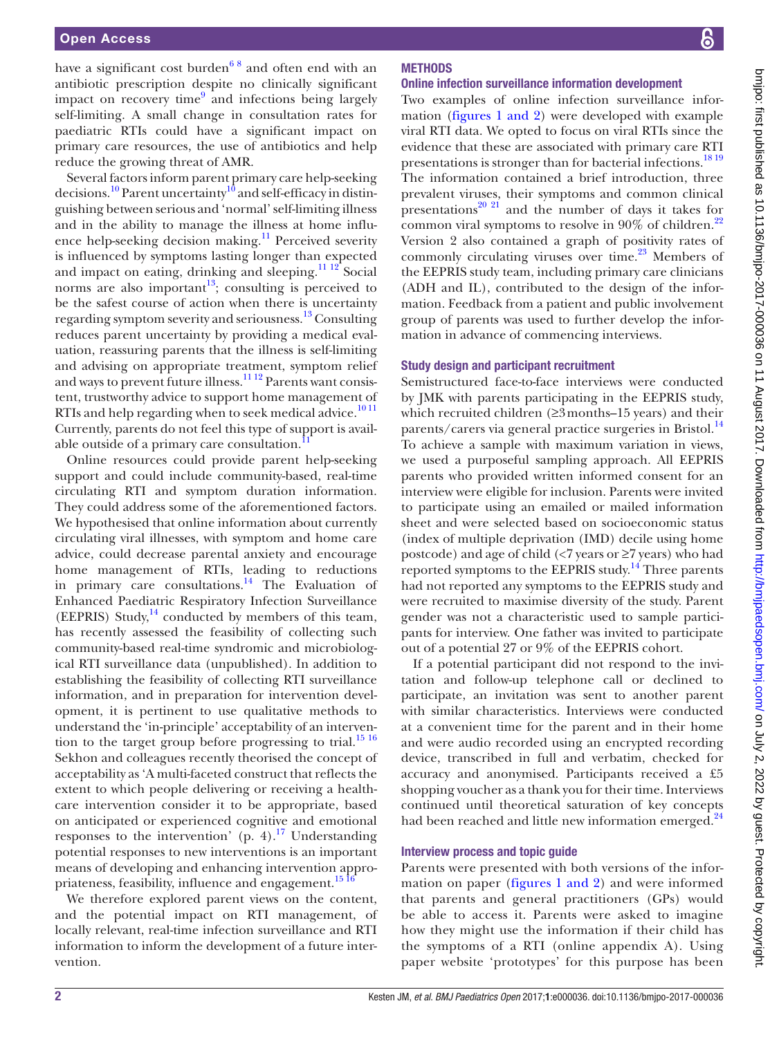have a significant cost burden<sup>68</sup> and often end with an antibiotic prescription despite no clinically significant impact on recovery time<sup>[9](#page-8-4)</sup> and infections being largely self-limiting. A small change in consultation rates for paediatric RTIs could have a significant impact on primary care resources, the use of antibiotics and help reduce the growing threat of AMR.

Several factors inform parent primary care help-seeking decisions.<sup>[10](#page-8-5)</sup> Parent uncertainty<sup>10</sup> and self-efficacy in distinguishing between serious and 'normal' self-limiting illness and in the ability to manage the illness at home influence help-seeking decision making.<sup>11</sup> Perceived severity is influenced by symptoms lasting longer than expected and impact on eating, drinking and sleeping. $\frac{11 \text{ } 12^{\degree}}{12}$  Social norms are also important<sup>13</sup>; consulting is perceived to be the safest course of action when there is uncertainty regarding symptom severity and seriousness.[13](#page-8-7) Consulting reduces parent uncertainty by providing a medical evaluation, reassuring parents that the illness is self-limiting and advising on appropriate treatment, symptom relief and ways to prevent future illness.<sup>11 12</sup> Parents want consistent, trustworthy advice to support home management of RTIs and help regarding when to seek medical advice.<sup>1011</sup> Currently, parents do not feel this type of support is available outside of a primary care consultation.<sup>1</sup>

Online resources could provide parent help-seeking support and could include community-based, real-time circulating RTI and symptom duration information. They could address some of the aforementioned factors. We hypothesised that online information about currently circulating viral illnesses, with symptom and home care advice, could decrease parental anxiety and encourage home management of RTIs, leading to reductions in primary care consultations. $14$  The Evaluation of Enhanced Paediatric Respiratory Infection Surveillance (EEPRIS) Study, $^{14}$  conducted by members of this team, has recently assessed the feasibility of collecting such community-based real-time syndromic and microbiological RTI surveillance data (unpublished). In addition to establishing the feasibility of collecting RTI surveillance information, and in preparation for intervention development, it is pertinent to use qualitative methods to understand the 'in-principle' acceptability of an interven-tion to the target group before progressing to trial.<sup>[15 16](#page-9-0)</sup> Sekhon and colleagues recently theorised the concept of acceptability as 'A multi-faceted construct that reflects the extent to which people delivering or receiving a healthcare intervention consider it to be appropriate, based on anticipated or experienced cognitive and emotional responses to the intervention' (p.  $4$ ).<sup>[17](#page-9-1)</sup> Understanding potential responses to new interventions is an important means of developing and enhancing intervention appropriateness, feasibility, influence and engagement.<sup>15 It</sup>

We therefore explored parent views on the content, and the potential impact on RTI management, of locally relevant, real-time infection surveillance and RTI information to inform the development of a future intervention.

## **METHODS**

Online infection surveillance information development Two examples of online infection surveillance information (figures [1 and 2](#page-2-0)) were developed with example viral RTI data. We opted to focus on viral RTIs since the evidence that these are associated with primary care RTI presentations is stronger than for bacterial infections.<sup>1819</sup> The information contained a brief introduction, three prevalent viruses, their symptoms and common clinical presentations $^{20}$  <sup>21</sup> and the number of days it takes for common viral symptoms to resolve in  $90\%$  of children.<sup>22</sup> Version 2 also contained a graph of positivity rates of commonly circulating viruses over time. $2<sup>3</sup>$  Members of the EEPRIS study team, including primary care clinicians (ADH and IL), contributed to the design of the information. Feedback from a patient and public involvement group of parents was used to further develop the information in advance of commencing interviews.

#### Study design and participant recruitment

Semistructured face-to-face interviews were conducted by JMK with parents participating in the EEPRIS study, which recruited children  $(≥3$  months–15 years) and their parents/carers via general practice surgeries in Bristol.<sup>14</sup> To achieve a sample with maximum variation in views, we used a purposeful sampling approach. All EEPRIS parents who provided written informed consent for an interview were eligible for inclusion. Parents were invited to participate using an emailed or mailed information sheet and were selected based on socioeconomic status (index of multiple deprivation (IMD) decile using home postcode) and age of child (<7 years or  $\geq$ 7 years) who had reported symptoms to the EEPRIS study.<sup>[14](#page-8-8)</sup> Three parents had not reported any symptoms to the EEPRIS study and were recruited to maximise diversity of the study. Parent gender was not a characteristic used to sample participants for interview. One father was invited to participate out of a potential 27 or 9% of the EEPRIS cohort.

If a potential participant did not respond to the invitation and follow-up telephone call or declined to participate, an invitation was sent to another parent with similar characteristics. Interviews were conducted at a convenient time for the parent and in their home and were audio recorded using an encrypted recording device, transcribed in full and verbatim, checked for accuracy and anonymised. Participants received a £5 shopping voucher as a thank you for their time. Interviews continued until theoretical saturation of key concepts had been reached and little new information emerged.<sup>[24](#page-9-6)</sup>

#### Interview process and topic guide

Parents were presented with both versions of the information on paper (figures [1 and 2](#page-2-0)) and were informed that parents and general practitioners (GPs) would be able to access it. Parents were asked to imagine how they might use the information if their child has the symptoms of a RTI (online [appendix A\)](https://dx.doi.org/10.1136/bmjpo-2017-000036). Using paper website 'prototypes' for this purpose has been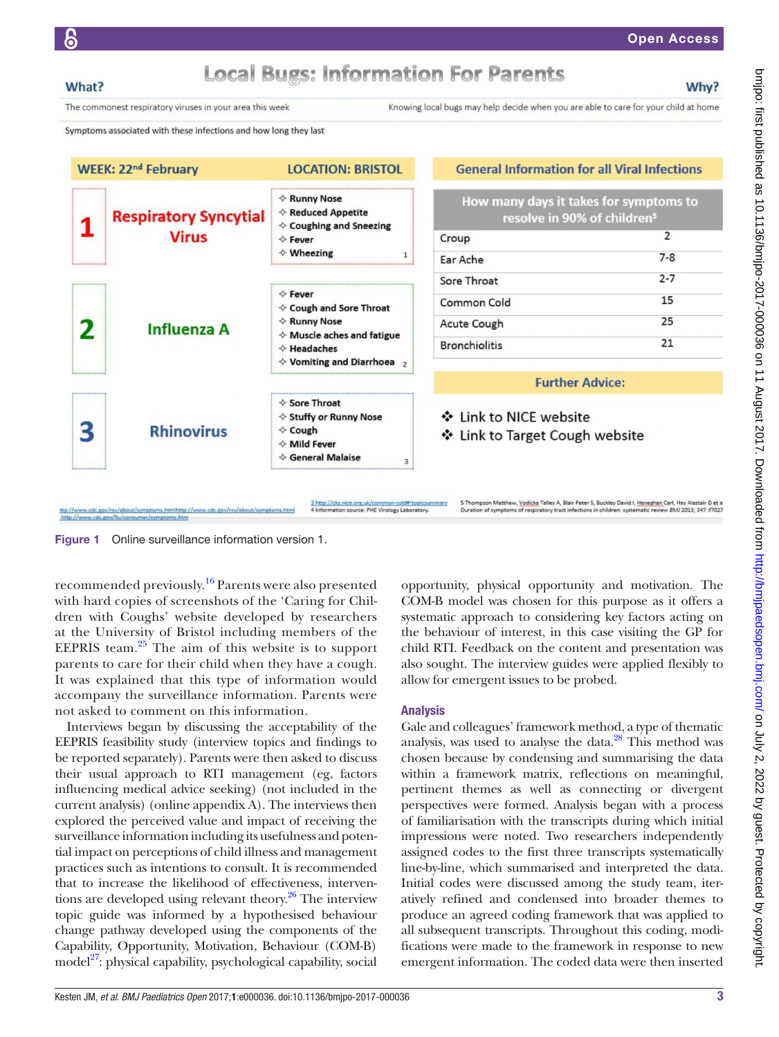What?

# **Local Bugs: Information For Parents**

Why?

The commonest respiratory viruses in your area this week

Knowing local bugs may help decide when you are able to care for your child at home

Symptoms associated with these infections and how long they last



<span id="page-2-0"></span>Figure 1 Online surveillance information version 1.

recommended previously.[16](#page-9-7) Parents were also presented with hard copies of screenshots of the 'Caring for Children with Coughs' website developed by researchers at the University of Bristol including members of the EEPRIS team. $25$  The aim of this website is to support parents to care for their child when they have a cough. It was explained that this type of information would accompany the surveillance information. Parents were not asked to comment on this information.

Interviews began by discussing the acceptability of the EEPRIS feasibility study (interview topics and findings to be reported separately). Parents were then asked to discuss their usual approach to RTI management (eg, factors influencing medical advice seeking) (not included in the current analysis) (online [appendix A](https://dx.doi.org/10.1136/bmjpo-2017-000036)). The interviews then explored the perceived value and impact of receiving the surveillance information including its usefulness and potential impact on perceptions of child illness and management practices such as intentions to consult. It is recommended that to increase the likelihood of effectiveness, interventions are developed using relevant theory.<sup>26</sup> The interview topic guide was informed by a hypothesised behaviour change pathway developed using the components of the Capability, Opportunity, Motivation, Behaviour (COM-B) model<sup>27</sup>: physical capability, psychological capability, social

opportunity, physical opportunity and motivation. The COM-B model was chosen for this purpose as it offers a systematic approach to considering key factors acting on the behaviour of interest, in this case visiting the GP for child RTI. Feedback on the content and presentation was also sought. The interview guides were applied flexibly to allow for emergent issues to be probed.

#### Analysis

Gale and colleagues' framework method, a type of thematic analysis, was used to analyse the data. $28$  This method was chosen because by condensing and summarising the data within a framework matrix, reflections on meaningful, pertinent themes as well as connecting or divergent perspectives were formed. Analysis began with a process of familiarisation with the transcripts during which initial impressions were noted. Two researchers independently assigned codes to the first three transcripts systematically line-by-line, which summarised and interpreted the data. Initial codes were discussed among the study team, iteratively refined and condensed into broader themes to produce an agreed coding framework that was applied to all subsequent transcripts. Throughout this coding, modifications were made to the framework in response to new emergent information. The coded data were then inserted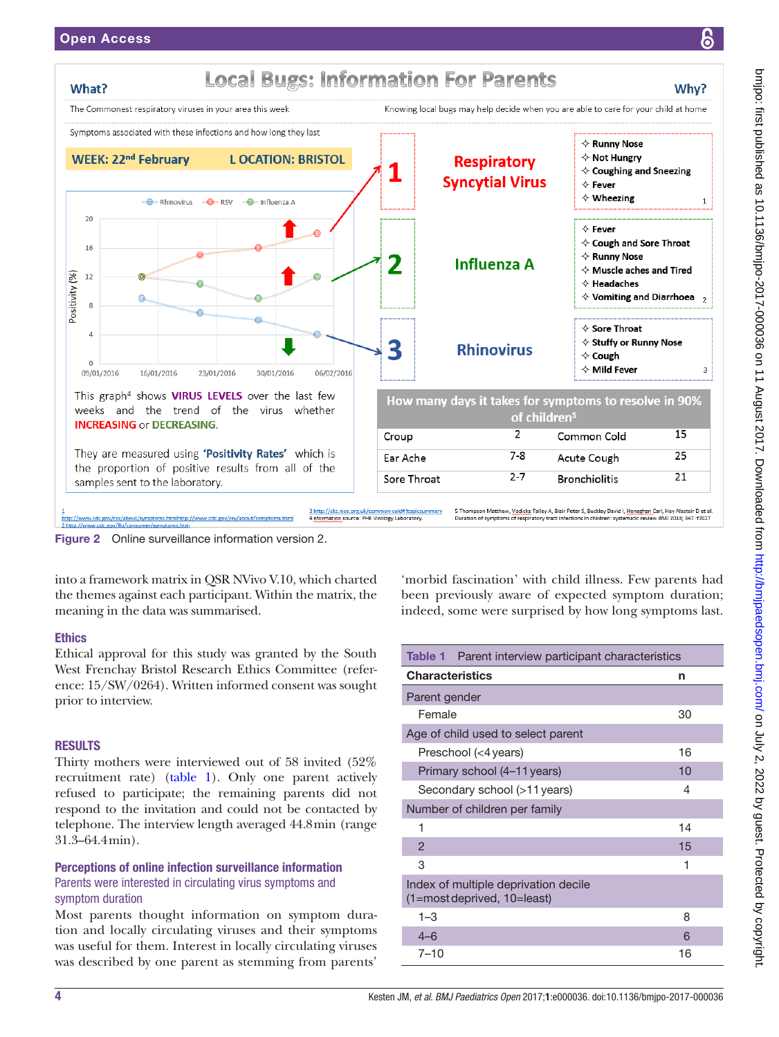

**Figure 2** Online surveillance information version 2.

into a framework matrix in QSR NVivo V.10, which charted the themes against each participant. Within the matrix, the meaning in the data was summarised.

#### **Ethics**

Ethical approval for this study was granted by the South West Frenchay Bristol Research Ethics Committee (reference: 15/SW/0264). Written informed consent was sought prior to interview.

#### **RESULTS**

Thirty mothers were interviewed out of 58 invited (52% recruitment rate) ([table](#page-3-0) 1). Only one parent actively refused to participate; the remaining parents did not respond to the invitation and could not be contacted by telephone. The interview length averaged 44.8min (range 31.3–64.4min).

#### Perceptions of online infection surveillance information Parents were interested in circulating virus symptoms and symptom duration

Most parents thought information on symptom duration and locally circulating viruses and their symptoms was useful for them. Interest in locally circulating viruses was described by one parent as stemming from parents'

'morbid fascination' with child illness. Few parents had been previously aware of expected symptom duration; indeed, some were surprised by how long symptoms last.

<span id="page-3-0"></span>

| Parent interview participant characteristics<br>Table 1                      |    |
|------------------------------------------------------------------------------|----|
| <b>Characteristics</b>                                                       | n  |
| Parent gender                                                                |    |
| Female                                                                       | 30 |
| Age of child used to select parent                                           |    |
| Preschool (<4 years)                                                         | 16 |
| Primary school (4–11 years)                                                  | 10 |
| Secondary school (>11 years)                                                 | 4  |
| Number of children per family                                                |    |
| 1                                                                            | 14 |
| $\overline{2}$                                                               | 15 |
| 3                                                                            | 1  |
| Index of multiple deprivation decile<br>$(1 = most$ deprived, $10 = least$ ) |    |
| $1 - 3$                                                                      | 8  |
| $4 - 6$                                                                      | 6  |
| $7 - 10$                                                                     | 16 |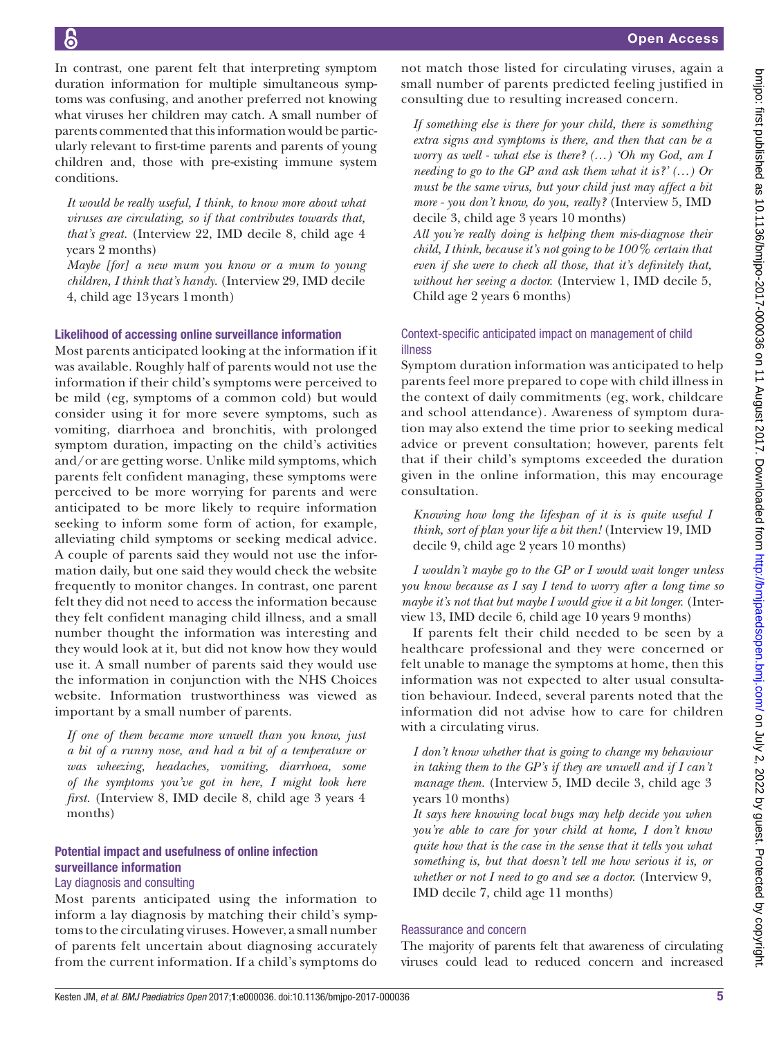In contrast, one parent felt that interpreting symptom duration information for multiple simultaneous symptoms was confusing, and another preferred not knowing what viruses her children may catch. A small number of parents commented that this information would be particularly relevant to first-time parents and parents of young children and, those with pre-existing immune system conditions.

*It would be really useful, I think, to know more about what viruses are circulating, so if that contributes towards that, that's great.* (Interview 22, IMD decile 8, child age 4 years 2 months)

*Maybe [for] a new mum you know or a mum to young children, I think that's handy.* (Interview 29, IMD decile 4, child age 13years 1month)

#### Likelihood of accessing online surveillance information

Most parents anticipated looking at the information if it was available. Roughly half of parents would not use the information if their child's symptoms were perceived to be mild (eg, symptoms of a common cold) but would consider using it for more severe symptoms, such as vomiting, diarrhoea and bronchitis, with prolonged symptom duration, impacting on the child's activities and/or are getting worse. Unlike mild symptoms, which parents felt confident managing, these symptoms were perceived to be more worrying for parents and were anticipated to be more likely to require information seeking to inform some form of action, for example, alleviating child symptoms or seeking medical advice. A couple of parents said they would not use the information daily, but one said they would check the website frequently to monitor changes. In contrast, one parent felt they did not need to access the information because they felt confident managing child illness, and a small number thought the information was interesting and they would look at it, but did not know how they would use it. A small number of parents said they would use the information in conjunction with the NHS Choices website. Information trustworthiness was viewed as important by a small number of parents.

*If one of them became more unwell than you know, just a bit of a runny nose, and had a bit of a temperature or was wheezing, headaches, vomiting, diarrhoea, some of the symptoms you've got in here, I might look here first.* (Interview 8, IMD decile 8, child age 3 years 4 months)

### Potential impact and usefulness of online infection surveillance information

Lay diagnosis and consulting Most parents anticipated using the information to inform a lay diagnosis by matching their child's symptoms to the circulating viruses. However, a small number of parents felt uncertain about diagnosing accurately from the current information. If a child's symptoms do

not match those listed for circulating viruses, again a small number of parents predicted feeling justified in consulting due to resulting increased concern.

*If something else is there for your child, there is something extra signs and symptoms is there, and then that can be a worry as well - what else is there? (…) 'Oh my God, am I needing to go to the GP and ask them what it is?' (…) Or must be the same virus, but your child just may affect a bit more - you don't know, do you, really?* (Interview 5, IMD decile 3, child age 3 years 10 months)

*All you're really doing is helping them mis-diagnose their child, I think, because it's not going to be 100% certain that even if she were to check all those, that it's definitely that, without her seeing a doctor.* (Interview 1, IMD decile 5, Child age 2 years 6 months)

#### Context-specific anticipated impact on management of child illness

Symptom duration information was anticipated to help parents feel more prepared to cope with child illness in the context of daily commitments (eg, work, childcare and school attendance). Awareness of symptom duration may also extend the time prior to seeking medical advice or prevent consultation; however, parents felt that if their child's symptoms exceeded the duration given in the online information, this may encourage consultation.

*Knowing how long the lifespan of it is is quite useful I think, sort of plan your life a bit then!* (Interview 19, IMD decile 9, child age 2 years 10 months)

*I wouldn't maybe go to the GP or I would wait longer unless you know because as I say I tend to worry after a long time so maybe it's not that but maybe I would give it a bit longer.* (Interview 13, IMD decile 6, child age 10 years 9 months)

If parents felt their child needed to be seen by a healthcare professional and they were concerned or felt unable to manage the symptoms at home, then this information was not expected to alter usual consultation behaviour. Indeed, several parents noted that the information did not advise how to care for children with a circulating virus.

*I don't know whether that is going to change my behaviour in taking them to the GP's if they are unwell and if I can't manage them.* (Interview 5, IMD decile 3, child age 3 years 10 months)

*It says here knowing local bugs may help decide you when you're able to care for your child at home, I don't know quite how that is the case in the sense that it tells you what something is, but that doesn't tell me how serious it is, or whether or not I need to go and see a doctor.* (Interview 9, IMD decile 7, child age 11 months)

#### Reassurance and concern

The majority of parents felt that awareness of circulating viruses could lead to reduced concern and increased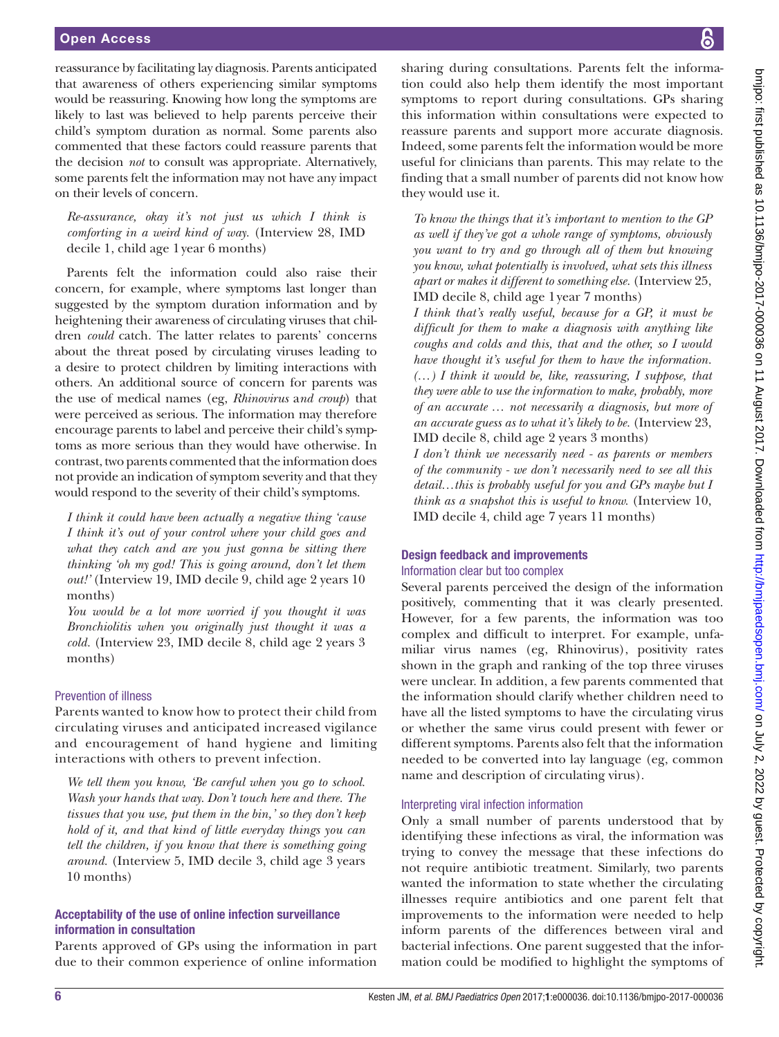reassurance by facilitating lay diagnosis. Parents anticipated that awareness of others experiencing similar symptoms would be reassuring. Knowing how long the symptoms are likely to last was believed to help parents perceive their child's symptom duration as normal. Some parents also commented that these factors could reassure parents that the decision *not* to consult was appropriate. Alternatively, some parents felt the information may not have any impact on their levels of concern.

*Re-assurance, okay it's not just us which I think is comforting in a weird kind of way.* (Interview 28, IMD decile 1, child age 1year 6 months)

Parents felt the information could also raise their concern, for example, where symptoms last longer than suggested by the symptom duration information and by heightening their awareness of circulating viruses that children *could* catch. The latter relates to parents' concerns about the threat posed by circulating viruses leading to a desire to protect children by limiting interactions with others. An additional source of concern for parents was the use of medical names (eg, *Rhinovirus* a*nd croup*) that were perceived as serious. The information may therefore encourage parents to label and perceive their child's symptoms as more serious than they would have otherwise. In contrast, two parents commented that the information does not provide an indication of symptom severity and that they would respond to the severity of their child's symptoms.

*I think it could have been actually a negative thing 'cause I think it's out of your control where your child goes and what they catch and are you just gonna be sitting there thinking 'oh my god! This is going around, don't let them out!'* (Interview 19, IMD decile 9, child age 2 years 10 months)

*You would be a lot more worried if you thought it was Bronchiolitis when you originally just thought it was a cold.* (Interview 23, IMD decile 8, child age 2 years 3 months)

#### Prevention of illness

Parents wanted to know how to protect their child from circulating viruses and anticipated increased vigilance and encouragement of hand hygiene and limiting interactions with others to prevent infection.

*We tell them you know, 'Be careful when you go to school. Wash your hands that way. Don't touch here and there. The tissues that you use, put them in the bin,' so they don't keep hold of it, and that kind of little everyday things you can tell the children, if you know that there is something going around.* (Interview 5, IMD decile 3, child age 3 years 10 months)

#### Acceptability of the use of online infection surveillance information in consultation

Parents approved of GPs using the information in part due to their common experience of online information

sharing during consultations. Parents felt the information could also help them identify the most important symptoms to report during consultations. GPs sharing this information within consultations were expected to reassure parents and support more accurate diagnosis. Indeed, some parents felt the information would be more useful for clinicians than parents. This may relate to the finding that a small number of parents did not know how they would use it.

*To know the things that it's important to mention to the GP as well if they've got a whole range of symptoms, obviously you want to try and go through all of them but knowing you know, what potentially is involved, what sets this illness apart or makes it different to something else.* (Interview 25, IMD decile 8, child age 1year 7 months)

*I think that's really useful, because for a GP, it must be difficult for them to make a diagnosis with anything like coughs and colds and this, that and the other, so I would have thought it's useful for them to have the information. (…) I think it would be, like, reassuring, I suppose, that they were able to use the information to make, probably, more of an accurate … not necessarily a diagnosis, but more of an accurate guess as to what it's likely to be.* (Interview 23, IMD decile 8, child age 2 years 3 months)

*I don't think we necessarily need - as parents or members of the community - we don't necessarily need to see all this detail…this is probably useful for you and GPs maybe but I think as a snapshot this is useful to know.* (Interview 10, IMD decile 4, child age 7 years 11 months)

#### Design feedback and improvements Information clear but too complex

Several parents perceived the design of the information positively, commenting that it was clearly presented. However, for a few parents, the information was too complex and difficult to interpret. For example, unfamiliar virus names (eg, Rhinovirus), positivity rates shown in the graph and ranking of the top three viruses were unclear. In addition, a few parents commented that the information should clarify whether children need to have all the listed symptoms to have the circulating virus or whether the same virus could present with fewer or different symptoms. Parents also felt that the information needed to be converted into lay language (eg, common name and description of circulating virus).

#### Interpreting viral infection information

Only a small number of parents understood that by identifying these infections as viral, the information was trying to convey the message that these infections do not require antibiotic treatment. Similarly, two parents wanted the information to state whether the circulating illnesses require antibiotics and one parent felt that improvements to the information were needed to help inform parents of the differences between viral and bacterial infections. One parent suggested that the information could be modified to highlight the symptoms of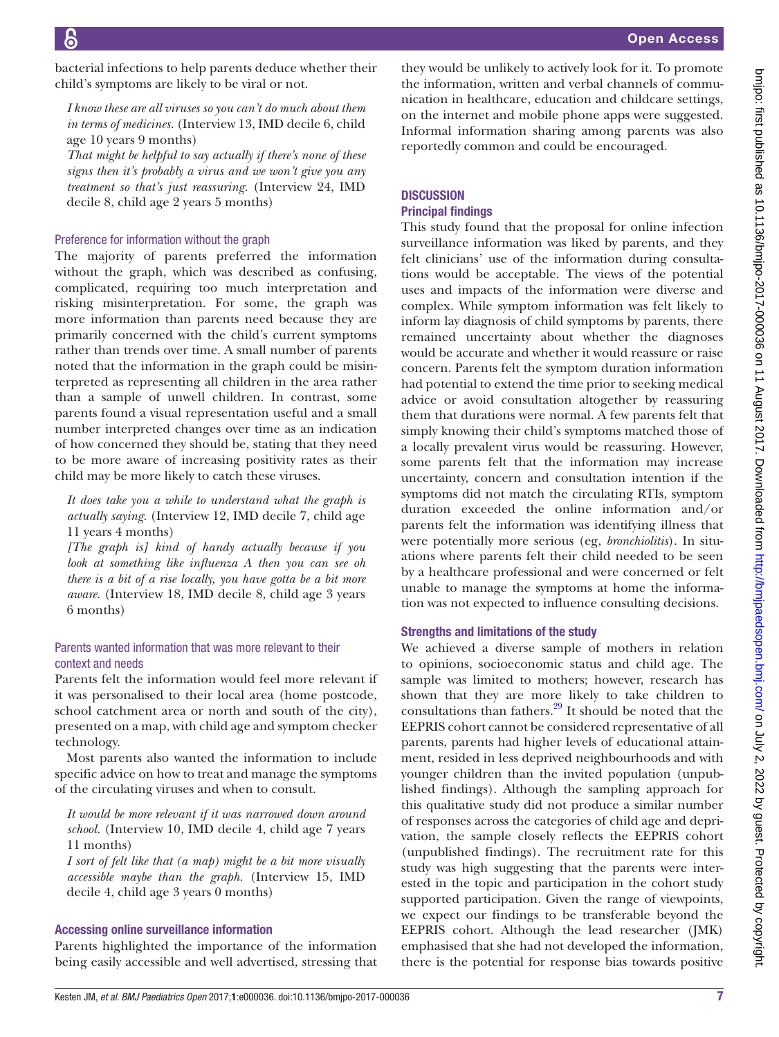bmipo: first published as 10.1136/bmipo-2017-000036 on 11 August 2017. Downloaded from http://bmipaedsopen.bmj.com/ on July 2, 2022 by guest. Protected by copyright on July 2, 2022 by guest. Protected by copyright. <http://bmjpaedsopen.bmj.com/> bmjpo: first published as 10.1136/bmjpo-2017-000036 on 11 August 2017. Downloaded from

bacterial infections to help parents deduce whether their child's symptoms are likely to be viral or not.

*I know these are all viruses so you can't do much about them in terms of medicines.* (Interview 13, IMD decile 6, child age 10 years 9 months)

*That might be helpful to say actually if there's none of these signs then it's probably a virus and we won't give you any treatment so that's just reassuring.* (Interview 24, IMD decile 8, child age 2 years 5 months)

#### Preference for information without the graph

The majority of parents preferred the information without the graph, which was described as confusing, complicated, requiring too much interpretation and risking misinterpretation. For some, the graph was more information than parents need because they are primarily concerned with the child's current symptoms rather than trends over time. A small number of parents noted that the information in the graph could be misinterpreted as representing all children in the area rather than a sample of unwell children. In contrast, some parents found a visual representation useful and a small number interpreted changes over time as an indication of how concerned they should be, stating that they need to be more aware of increasing positivity rates as their child may be more likely to catch these viruses.

*It does take you a while to understand what the graph is actually saying.* (Interview 12, IMD decile 7, child age 11 years 4 months)

*[The graph is] kind of handy actually because if you look at something like influenza A then you can see oh there is a bit of a rise locally, you have gotta be a bit more aware.* (Interview 18, IMD decile 8, child age 3 years 6 months)

#### Parents wanted information that was more relevant to their context and needs

Parents felt the information would feel more relevant if it was personalised to their local area (home postcode, school catchment area or north and south of the city), presented on a map, with child age and symptom checker technology.

Most parents also wanted the information to include specific advice on how to treat and manage the symptoms of the circulating viruses and when to consult.

*It would be more relevant if it was narrowed down around school.* (Interview 10, IMD decile 4, child age 7 years 11 months)

*I sort of felt like that (a map) might be a bit more visually accessible maybe than the graph.* (Interview 15, IMD decile 4, child age 3 years 0 months)

#### Accessing online surveillance information

Parents highlighted the importance of the information being easily accessible and well advertised, stressing that they would be unlikely to actively look for it. To promote the information, written and verbal channels of communication in healthcare, education and childcare settings, on the internet and mobile phone apps were suggested. Informal information sharing among parents was also reportedly common and could be encouraged.

#### **DISCUSSION** Principal findings

This study found that the proposal for online infection surveillance information was liked by parents, and they felt clinicians' use of the information during consultations would be acceptable. The views of the potential uses and impacts of the information were diverse and complex. While symptom information was felt likely to inform lay diagnosis of child symptoms by parents, there remained uncertainty about whether the diagnoses would be accurate and whether it would reassure or raise concern. Parents felt the symptom duration information had potential to extend the time prior to seeking medical advice or avoid consultation altogether by reassuring them that durations were normal. A few parents felt that simply knowing their child's symptoms matched those of a locally prevalent virus would be reassuring. However, some parents felt that the information may increase uncertainty, concern and consultation intention if the symptoms did not match the circulating RTIs, symptom duration exceeded the online information and/or parents felt the information was identifying illness that were potentially more serious (eg, *bronchiolitis*). In situations where parents felt their child needed to be seen by a healthcare professional and were concerned or felt unable to manage the symptoms at home the information was not expected to influence consulting decisions.

#### Strengths and limitations of the study

We achieved a diverse sample of mothers in relation to opinions, socioeconomic status and child age. The sample was limited to mothers; however, research has shown that they are more likely to take children to consultations than fathers[.29](#page-9-12) It should be noted that the EEPRIS cohort cannot be considered representative of all parents, parents had higher levels of educational attainment, resided in less deprived neighbourhoods and with younger children than the invited population (unpublished findings). Although the sampling approach for this qualitative study did not produce a similar number of responses across the categories of child age and deprivation, the sample closely reflects the EEPRIS cohort (unpublished findings). The recruitment rate for this study was high suggesting that the parents were interested in the topic and participation in the cohort study supported participation. Given the range of viewpoints, we expect our findings to be transferable beyond the EEPRIS cohort. Although the lead researcher (JMK) emphasised that she had not developed the information, there is the potential for response bias towards positive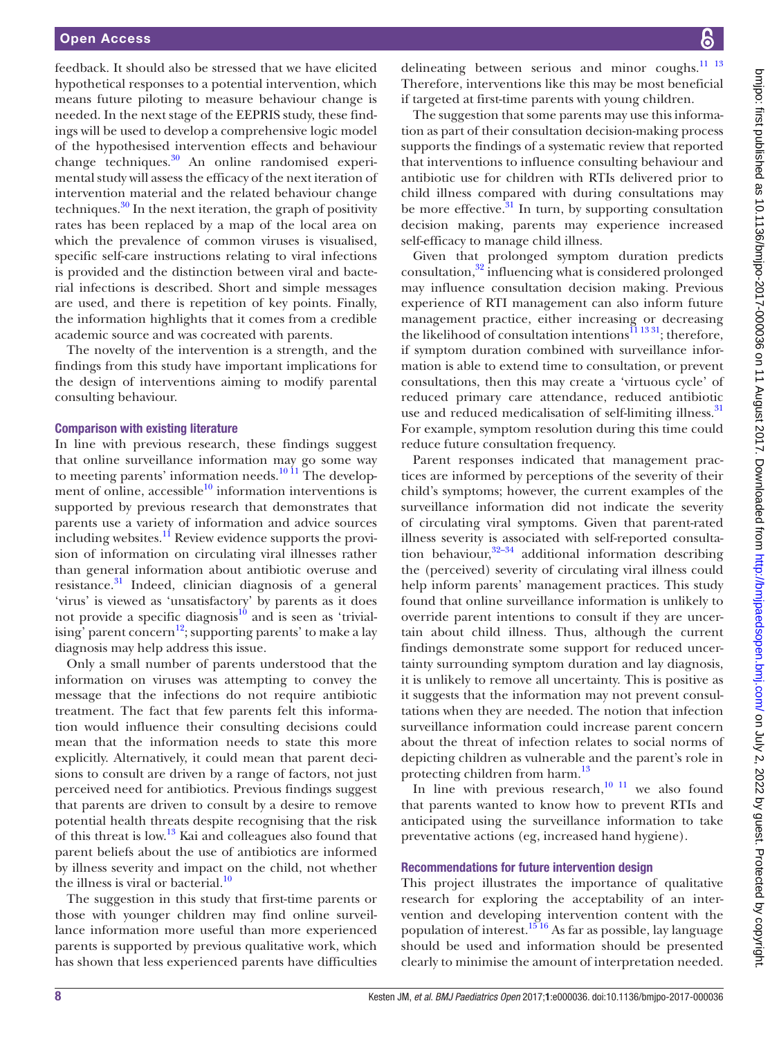feedback. It should also be stressed that we have elicited hypothetical responses to a potential intervention, which means future piloting to measure behaviour change is needed. In the next stage of the EEPRIS study, these findings will be used to develop a comprehensive logic model of the hypothesised intervention effects and behaviour change techniques. $30$  An online randomised experimental study will assess the efficacy of the next iteration of intervention material and the related behaviour change techniques. $30$  In the next iteration, the graph of positivity rates has been replaced by a map of the local area on which the prevalence of common viruses is visualised, specific self-care instructions relating to viral infections is provided and the distinction between viral and bacterial infections is described. Short and simple messages are used, and there is repetition of key points. Finally, the information highlights that it comes from a credible academic source and was cocreated with parents.

The novelty of the intervention is a strength, and the findings from this study have important implications for the design of interventions aiming to modify parental consulting behaviour.

#### Comparison with existing literature

In line with previous research, these findings suggest that online surveillance information may go some way to meeting parents' information needs.<sup>10 11</sup> The development of online, accessible $10$  information interventions is supported by previous research that demonstrates that parents use a variety of information and advice sources  $\frac{1}{2}$  including websites.<sup>[11](#page-8-6)</sup> Review evidence supports the provision of information on circulating viral illnesses rather than general information about antibiotic overuse and resistance.<sup>31</sup> Indeed, clinician diagnosis of a general 'virus' is viewed as 'unsatisfactory' by parents as it does not provide a specific diagnosis $^{10}$  and is seen as 'trivialising' parent concern<sup>12</sup>; supporting parents' to make a lay diagnosis may help address this issue.

Only a small number of parents understood that the information on viruses was attempting to convey the message that the infections do not require antibiotic treatment. The fact that few parents felt this information would influence their consulting decisions could mean that the information needs to state this more explicitly. Alternatively, it could mean that parent decisions to consult are driven by a range of factors, not just perceived need for antibiotics. Previous findings suggest that parents are driven to consult by a desire to remove potential health threats despite recognising that the risk of this threat is low.[13](#page-8-7) Kai and colleagues also found that parent beliefs about the use of antibiotics are informed by illness severity and impact on the child, not whether the illness is viral or bacterial. $^{10}$  $^{10}$  $^{10}$ 

The suggestion in this study that first-time parents or those with younger children may find online surveillance information more useful than more experienced parents is supported by previous qualitative work, which has shown that less experienced parents have difficulties

delineating between serious and minor coughs.<sup>11</sup> <sup>13</sup> Therefore, interventions like this may be most beneficial if targeted at first-time parents with young children.

The suggestion that some parents may use this information as part of their consultation decision-making process supports the findings of a systematic review that reported that interventions to influence consulting behaviour and antibiotic use for children with RTIs delivered prior to child illness compared with during consultations may be more effective. $31$  In turn, by supporting consultation decision making, parents may experience increased self-efficacy to manage child illness.

Given that prolonged symptom duration predicts consultation,[32](#page-9-15) influencing what is considered prolonged may influence consultation decision making. Previous experience of RTI management can also inform future management practice, either increasing or decreasing the likelihood of consultation intentions<sup>11 13 31</sup>; therefore, if symptom duration combined with surveillance information is able to extend time to consultation, or prevent consultations, then this may create a 'virtuous cycle' of reduced primary care attendance, reduced antibiotic use and reduced medicalisation of self-limiting illness.<sup>31</sup> For example, symptom resolution during this time could reduce future consultation frequency.

Parent responses indicated that management practices are informed by perceptions of the severity of their child's symptoms; however, the current examples of the surveillance information did not indicate the severity of circulating viral symptoms. Given that parent-rated illness severity is associated with self-reported consultation behaviour, $32-34$  additional information describing the (perceived) severity of circulating viral illness could help inform parents' management practices. This study found that online surveillance information is unlikely to override parent intentions to consult if they are uncertain about child illness. Thus, although the current findings demonstrate some support for reduced uncertainty surrounding symptom duration and lay diagnosis, it is unlikely to remove all uncertainty. This is positive as it suggests that the information may not prevent consultations when they are needed. The notion that infection surveillance information could increase parent concern about the threat of infection relates to social norms of depicting children as vulnerable and the parent's role in protecting children from harm.<sup>[13](#page-8-7)</sup>

In line with previous research, $10^{-11}$  we also found that parents wanted to know how to prevent RTIs and anticipated using the surveillance information to take preventative actions (eg, increased hand hygiene).

#### Recommendations for future intervention design

This project illustrates the importance of qualitative research for exploring the acceptability of an intervention and developing intervention content with the population of interest.<sup>1516</sup> As far as possible, lay language should be used and information should be presented clearly to minimise the amount of interpretation needed.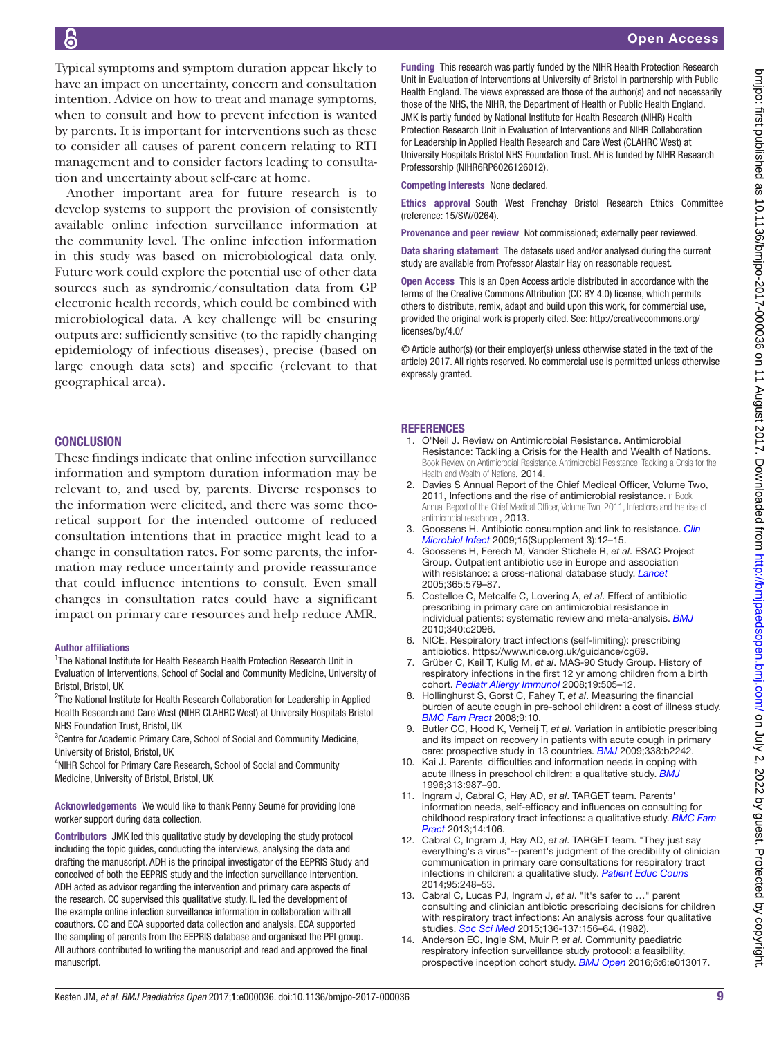Typical symptoms and symptom duration appear likely to have an impact on uncertainty, concern and consultation intention. Advice on how to treat and manage symptoms, when to consult and how to prevent infection is wanted by parents. It is important for interventions such as these to consider all causes of parent concern relating to RTI management and to consider factors leading to consultation and uncertainty about self-care at home.

Another important area for future research is to develop systems to support the provision of consistently available online infection surveillance information at the community level. The online infection information in this study was based on microbiological data only. Future work could explore the potential use of other data sources such as syndromic/consultation data from GP electronic health records, which could be combined with microbiological data. A key challenge will be ensuring outputs are: sufficiently sensitive (to the rapidly changing epidemiology of infectious diseases), precise (based on large enough data sets) and specific (relevant to that geographical area).

#### **CONCLUSION**

These findings indicate that online infection surveillance information and symptom duration information may be relevant to, and used by, parents. Diverse responses to the information were elicited, and there was some theoretical support for the intended outcome of reduced consultation intentions that in practice might lead to a change in consultation rates. For some parents, the information may reduce uncertainty and provide reassurance that could influence intentions to consult. Even small changes in consultation rates could have a significant impact on primary care resources and help reduce AMR.

#### Author affiliations

<sup>1</sup>The National Institute for Health Research Health Protection Research Unit in Evaluation of Interventions, School of Social and Community Medicine, University of Bristol, Bristol, UK

<sup>2</sup>The National Institute for Health Research Collaboration for Leadership in Applied Health Research and Care West (NIHR CLAHRC West) at University Hospitals Bristol NHS Foundation Trust, Bristol, UK

<sup>3</sup> Centre for Academic Primary Care, School of Social and Community Medicine, University of Bristol, Bristol, UK

<sup>4</sup>NIHR School for Primary Care Research, School of Social and Community Medicine, University of Bristol, Bristol, UK

Acknowledgements We would like to thank Penny Seume for providing lone worker support during data collection.

Contributors JMK led this qualitative study by developing the study protocol including the topic guides, conducting the interviews, analysing the data and drafting the manuscript. ADH is the principal investigator of the EEPRIS Study and conceived of both the EEPRIS study and the infection surveillance intervention. ADH acted as advisor regarding the intervention and primary care aspects of the research. CC supervised this qualitative study. IL led the development of the example online infection surveillance information in collaboration with all coauthors. CC and ECA supported data collection and analysis. ECA supported the sampling of parents from the EEPRIS database and organised the PPI group. All authors contributed to writing the manuscript and read and approved the final manuscript.

Funding This research was partly funded by the NIHR Health Protection Research Unit in Evaluation of Interventions at University of Bristol in partnership with Public Health England. The views expressed are those of the author(s) and not necessarily those of the NHS, the NIHR, the Department of Health or Public Health England. JMK is partly funded by National Institute for Health Research (NIHR) Health Protection Research Unit in Evaluation of Interventions and NIHR Collaboration for Leadership in Applied Health Research and Care West (CLAHRC West) at University Hospitals Bristol NHS Foundation Trust. AH is funded by NIHR Research Professorship (NIHR6RP6026126012).

Competing interests None declared.

Ethics approval South West Frenchay Bristol Research Ethics Committee (reference: 15/SW/0264).

Provenance and peer review Not commissioned; externally peer reviewed.

Data sharing statement The datasets used and/or analysed during the current study are available from Professor Alastair Hay on reasonable request.

Open Access This is an Open Access article distributed in accordance with the terms of the Creative Commons Attribution (CC BY 4.0) license, which permits others to distribute, remix, adapt and build upon this work, for commercial use, provided the original work is properly cited. See: [http://creativecommons.org/](http://creativecommons.org/licenses/by/4.0/) [licenses/by/4.0/](http://creativecommons.org/licenses/by/4.0/)

© Article author(s) (or their employer(s) unless otherwise stated in the text of the article) 2017. All rights reserved. No commercial use is permitted unless otherwise expressly granted.

#### **REFERENCES**

- <span id="page-8-0"></span>1. O'Neil J. Review on Antimicrobial Resistance. Antimicrobial Resistance: Tackling a Crisis for the Health and Wealth of Nations. Book Review on Antimicrobial Resistance. Antimicrobial Resistance: Tackling a Crisis for the Health and Wealth of Nations, 2014.
- 2. Davies S Annual Report of the Chief Medical Officer, Volume Two, 2011, Infections and the rise of antimicrobial resistance. n Book Annual Report of the Chief Medical Officer, Volume Two, 2011, Infections and the rise of antimicrobial resistance , 2013.
- 3. Goossens H. Antibiotic consumption and link to resistance. *[Clin](http://dx.doi.org/10.1111/j.1469-0691.2009.02725.x)  [Microbiol Infect](http://dx.doi.org/10.1111/j.1469-0691.2009.02725.x)* 2009;15(Supplement 3):12–15.
- <span id="page-8-2"></span>4. Goossens H, Ferech M, Vander Stichele R, *et al*. ESAC Project Group. Outpatient antibiotic use in Europe and association with resistance: a cross-national database study. *[Lancet](http://dx.doi.org/10.1016/S0140-6736(05)70799-6)* 2005;365:579–87.
- 5. Costelloe C, Metcalfe C, Lovering A, *et al*. Effect of antibiotic prescribing in primary care on antimicrobial resistance in individual patients: systematic review and meta-analysis. *[BMJ](http://dx.doi.org/10.1136/bmj.c2096)* 2010;340:c2096.
- <span id="page-8-1"></span>6. NICE. Respiratory tract infections (self-limiting): prescribing antibiotics. [https://www.nice.org.uk/guidance/cg69.](https://www.nice.org.uk/guidance/cg69)
- <span id="page-8-3"></span>7. Grüber C, Keil T, Kulig M, *et al*. MAS-90 Study Group. History of respiratory infections in the first 12 yr among children from a birth cohort. *[Pediatr Allergy Immunol](http://dx.doi.org/10.1111/j.1399-3038.2007.00688.x)* 2008;19:505–12.
- 8. Hollinghurst S, Gorst C, Fahey T, *et al*. Measuring the financial burden of acute cough in pre-school children: a cost of illness study. *[BMC Fam Pract](http://dx.doi.org/10.1186/1471-2296-9-10)* 2008;9:10.
- <span id="page-8-4"></span>9. Butler CC, Hood K, Verheij T, *et al*. Variation in antibiotic prescribing and its impact on recovery in patients with acute cough in primary care: prospective study in 13 countries. *[BMJ](http://dx.doi.org/10.1136/bmj.b2242)* 2009;338:b2242.
- <span id="page-8-5"></span>10. Kai J. Parents' difficulties and information needs in coping with acute illness in preschool children: a qualitative study. *[BMJ](http://dx.doi.org/10.1136/bmj.313.7063.987)* 1996;313:987–90.
- <span id="page-8-6"></span>11. Ingram J, Cabral C, Hay AD, *et al*. TARGET team. Parents' information needs, self-efficacy and influences on consulting for childhood respiratory tract infections: a qualitative study. *[BMC Fam](http://dx.doi.org/10.1186/1471-2296-14-106)  [Pract](http://dx.doi.org/10.1186/1471-2296-14-106)* 2013;14:106.
- <span id="page-8-9"></span>12. Cabral C, Ingram J, Hay AD, *et al*. TARGET team. "They just say everything's a virus"--parent's judgment of the credibility of clinician communication in primary care consultations for respiratory tract infections in children: a qualitative study. *[Patient Educ Couns](http://dx.doi.org/10.1016/j.pec.2014.01.010)* 2014;95:248–53.
- <span id="page-8-7"></span>13. Cabral C, Lucas PJ, Ingram J, *et al*. "It's safer to …" parent consulting and clinician antibiotic prescribing decisions for children with respiratory tract infections: An analysis across four qualitative studies. *[Soc Sci Med](http://dx.doi.org/10.1016/j.socscimed.2015.05.027)* 2015;136-137:156–64. (1982).
- <span id="page-8-8"></span>14. Anderson EC, Ingle SM, Muir P, *et al*. Community paediatric respiratory infection surveillance study protocol: a feasibility, prospective inception cohort study. *[BMJ Open](http://dx.doi.org/10.1136/bmjopen-2016-013017)* 2016;6:6:e013017.